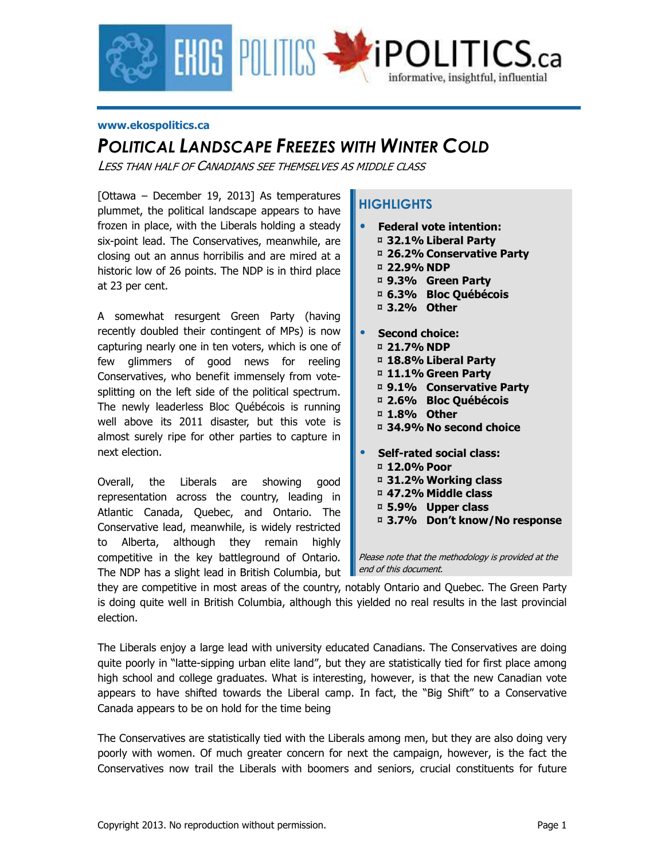

#### **www.ekospolitics.ca**

### *POLITICAL LANDSCAPE FREEZES WITH WINTER COLD*

LESS THAN HALF OF CANADIANS SEE THEMSELVES AS MIDDLE CLASS

[Ottawa – December 19, 2013] As temperatures plummet, the political landscape appears to have frozen in place, with the Liberals holding a steady six-point lead. The Conservatives, meanwhile, are closing out an annus horribilis and are mired at a historic low of 26 points. The NDP is in third place at 23 per cent.

A somewhat resurgent Green Party (having recently doubled their contingent of MPs) is now capturing nearly one in ten voters, which is one of few glimmers of good news for reeling Conservatives, who benefit immensely from votesplitting on the left side of the political spectrum. The newly leaderless Bloc Québécois is running well above its 2011 disaster, but this vote is almost surely ripe for other parties to capture in next election.

Overall, the Liberals are showing good representation across the country, leading in Atlantic Canada, Quebec, and Ontario. The Conservative lead, meanwhile, is widely restricted to Alberta, although they remain highly competitive in the key battleground of Ontario. The NDP has a slight lead in British Columbia, but

### **HIGHLIGHTS**

- **Federal vote intention:**  ¤ **32.1% Liberal Party**  ¤ **26.2% Conservative Party**  ¤ **22.9% NDP**  ¤ **9.3% Green Party**  ¤ **6.3% Bloc Québécois**  ¤ **3.2% Other**
- **Second choice:**  ¤ **21.7% NDP**  ¤ **18.8% Liberal Party**  ¤ **11.1% Green Party**  ¤ **9.1% Conservative Party**  ¤ **2.6% Bloc Québécois**  ¤ **1.8% Other**  ¤ **34.9% No second choice**  • **Self-rated social class:**  ¤ **12.0% Poor**  ¤ **31.2% Working class**  ¤ **47.2% Middle class** 
	- ¤ **5.9% Upper class**
	-
	- ¤ **3.7% Don't know/No response**

Please note that the methodology is provided at the end of this document.

they are competitive in most areas of the country, notably Ontario and Quebec. The Green Party is doing quite well in British Columbia, although this yielded no real results in the last provincial election.

The Liberals enjoy a large lead with university educated Canadians. The Conservatives are doing quite poorly in "latte-sipping urban elite land", but they are statistically tied for first place among high school and college graduates. What is interesting, however, is that the new Canadian vote appears to have shifted towards the Liberal camp. In fact, the "Big Shift" to a Conservative Canada appears to be on hold for the time being

The Conservatives are statistically tied with the Liberals among men, but they are also doing very poorly with women. Of much greater concern for next the campaign, however, is the fact the Conservatives now trail the Liberals with boomers and seniors, crucial constituents for future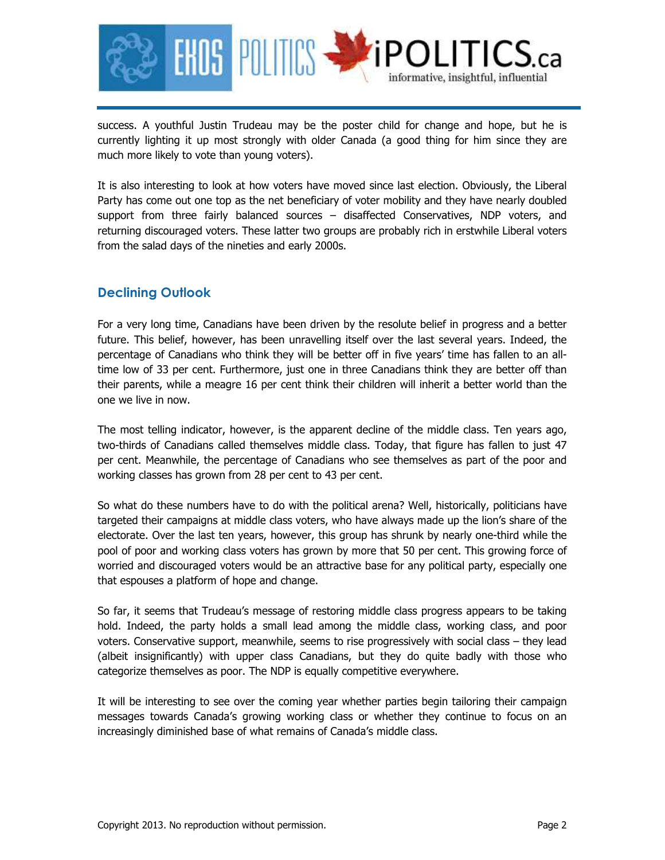

success. A youthful Justin Trudeau may be the poster child for change and hope, but he is currently lighting it up most strongly with older Canada (a good thing for him since they are much more likely to vote than young voters).

It is also interesting to look at how voters have moved since last election. Obviously, the Liberal Party has come out one top as the net beneficiary of voter mobility and they have nearly doubled support from three fairly balanced sources - disaffected Conservatives, NDP voters, and returning discouraged voters. These latter two groups are probably rich in erstwhile Liberal voters from the salad days of the nineties and early 2000s.

### **Declining Outlook**

For a very long time, Canadians have been driven by the resolute belief in progress and a better future. This belief, however, has been unravelling itself over the last several years. Indeed, the percentage of Canadians who think they will be better off in five years' time has fallen to an alltime low of 33 per cent. Furthermore, just one in three Canadians think they are better off than their parents, while a meagre 16 per cent think their children will inherit a better world than the one we live in now.

The most telling indicator, however, is the apparent decline of the middle class. Ten years ago, two-thirds of Canadians called themselves middle class. Today, that figure has fallen to just 47 per cent. Meanwhile, the percentage of Canadians who see themselves as part of the poor and working classes has grown from 28 per cent to 43 per cent.

So what do these numbers have to do with the political arena? Well, historically, politicians have targeted their campaigns at middle class voters, who have always made up the lion's share of the electorate. Over the last ten years, however, this group has shrunk by nearly one-third while the pool of poor and working class voters has grown by more that 50 per cent. This growing force of worried and discouraged voters would be an attractive base for any political party, especially one that espouses a platform of hope and change.

So far, it seems that Trudeau's message of restoring middle class progress appears to be taking hold. Indeed, the party holds a small lead among the middle class, working class, and poor voters. Conservative support, meanwhile, seems to rise progressively with social class – they lead (albeit insignificantly) with upper class Canadians, but they do quite badly with those who categorize themselves as poor. The NDP is equally competitive everywhere.

It will be interesting to see over the coming year whether parties begin tailoring their campaign messages towards Canada's growing working class or whether they continue to focus on an increasingly diminished base of what remains of Canada's middle class.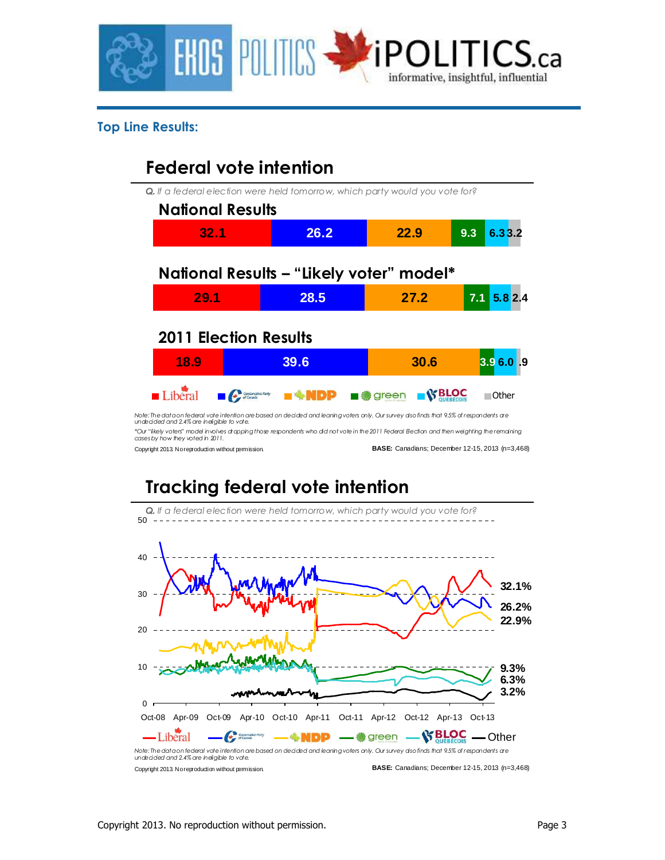

### **Top Line Results:**

## **Federal vote intention**

*Q. If a federal election were held tomorrow, which party would you vote for?*

| <b>National Results</b>      |                                          |           |                |
|------------------------------|------------------------------------------|-----------|----------------|
| 32.1                         | 26.2                                     | 22.9      | 6.33.2<br>9.3  |
|                              | National Results - "Likely voter" model* |           |                |
| 29.1                         | 28.5                                     | 27.2      | 5.8 2.4<br>7.1 |
| <b>2011 Election Results</b> |                                          |           |                |
| 18.9                         | 39.6                                     | 30.6      | 3.9 6.0 .9     |
| Liberal                      | Conservative Party<br><b>EXAMPP</b>      | ■ ● green | Other          |
|                              |                                          |           |                |

*\*Our "likely voters" model involves dropping those respondents who did not vote in the 2011 Federal Election and then weighting the remaining cases by how they voted in 2011.*

Copyright 2013. No reproduction without permission.

**BASE:** Canadians; December 12-15, 2013 (n=3,468)

# **Tracking federal vote intention**

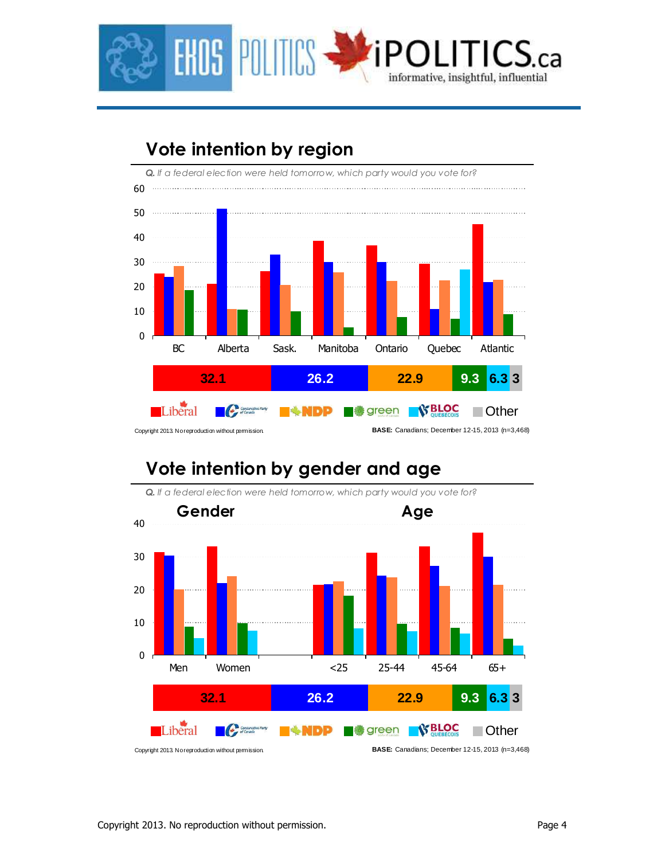

## **Vote intention by region**



## **Vote intention by gender and age**

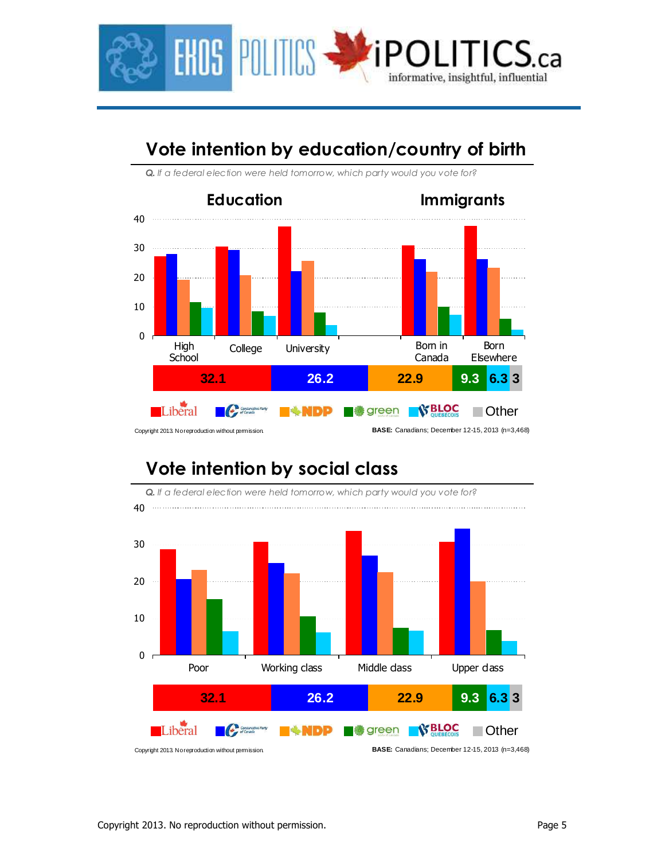

## **Vote intention by education/country of birth**



*Q. If a federal election were held tomorrow, which party would you vote for?*

## **Vote intention by social class**

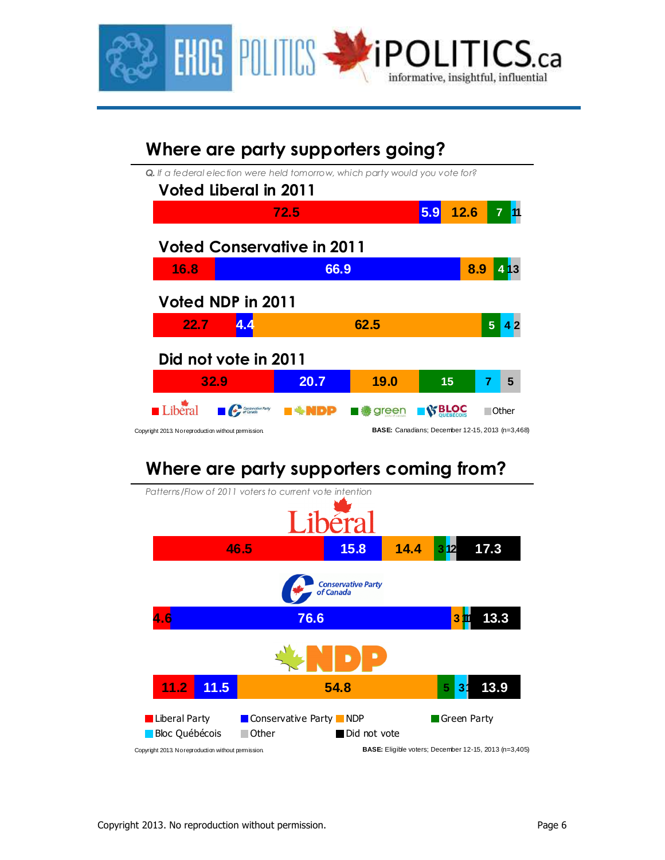

| Where are party supporters going?                                                                            |                                   |       |                                                        |                |        |  |  |  |  |  |
|--------------------------------------------------------------------------------------------------------------|-----------------------------------|-------|--------------------------------------------------------|----------------|--------|--|--|--|--|--|
| <b>Q.</b> If a federal election were held tomorrow, which party would you vote for?<br>Voted Liberal in 2011 |                                   |       |                                                        |                |        |  |  |  |  |  |
|                                                                                                              | 72.5                              |       | 12.6<br>5.9                                            |                |        |  |  |  |  |  |
|                                                                                                              | <b>Voted Conservative in 2011</b> |       |                                                        |                |        |  |  |  |  |  |
| 16.8                                                                                                         | 66.9                              | 8.9   |                                                        |                |        |  |  |  |  |  |
| Voted NDP in 2011                                                                                            |                                   |       |                                                        |                |        |  |  |  |  |  |
| 22.7                                                                                                         |                                   | 62.5  |                                                        | 5 <sup>5</sup> |        |  |  |  |  |  |
| Did not vote in 2011                                                                                         |                                   |       |                                                        |                |        |  |  |  |  |  |
| 32.9                                                                                                         | 20.7                              | 19.0  | 15                                                     |                | 5      |  |  |  |  |  |
| Conservative Party                                                                                           |                                   | green | <b>BLOC</b>                                            |                | ∣Other |  |  |  |  |  |
| Copyright 2013. No reproduction without permission.                                                          |                                   |       | <b>BASE:</b> Canadians; December 12-15, 2013 (n=3,468) |                |        |  |  |  |  |  |

## **Where are party supporters coming from?**

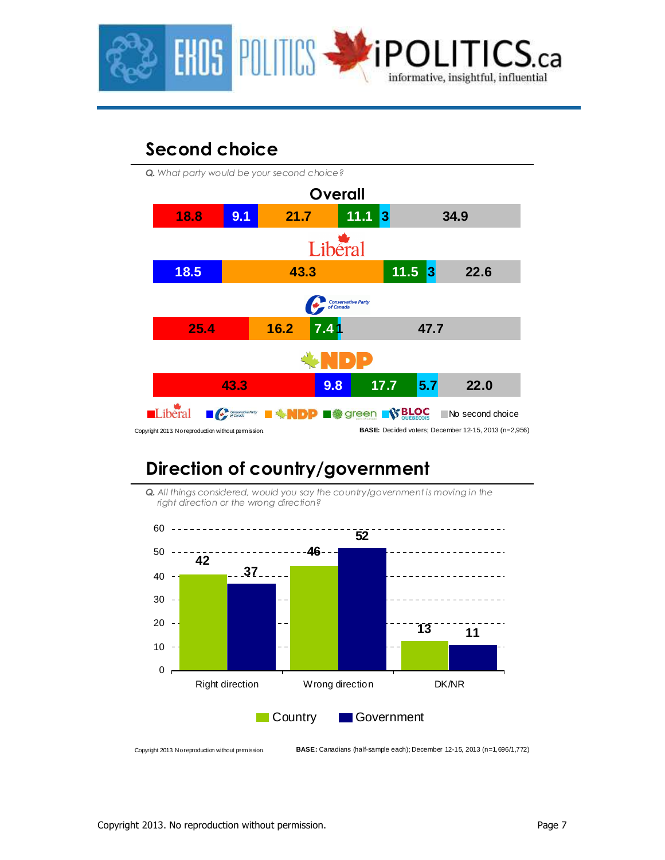

## **Second choice**



## **Direction of country/government**





Copyright 2013. No reproduction without permission. **BASE:** Canadians (half-sample each); December 12-15, 2013 (n=1,696/1,772)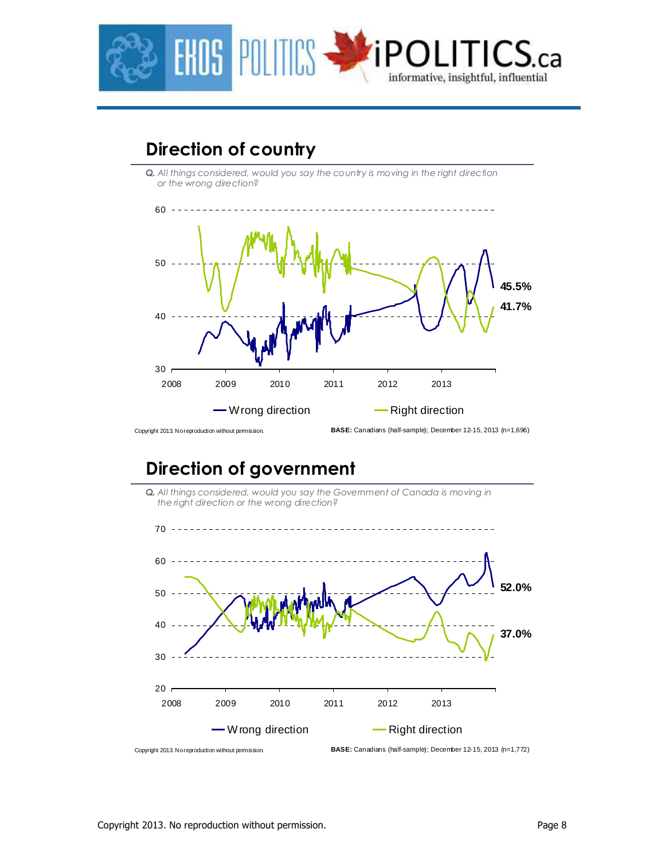

## **Direction of country**

**Q.** All things considered, would you say the country is moving in the right direction *or the wrong direction?*



## **Direction of government**

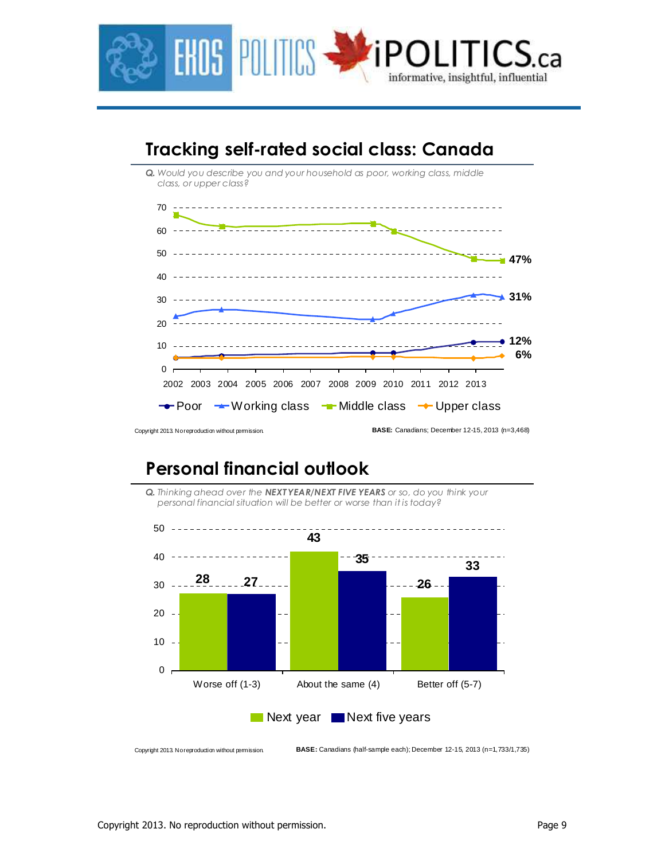

## **Tracking self-rated social class: Canada**



## **Personal financial outlook**





**BASE:** Canadians (half-sample each); December 12-15, 2013 (n=1,733/1,735)

Copyright 2013. No reproduction without permission.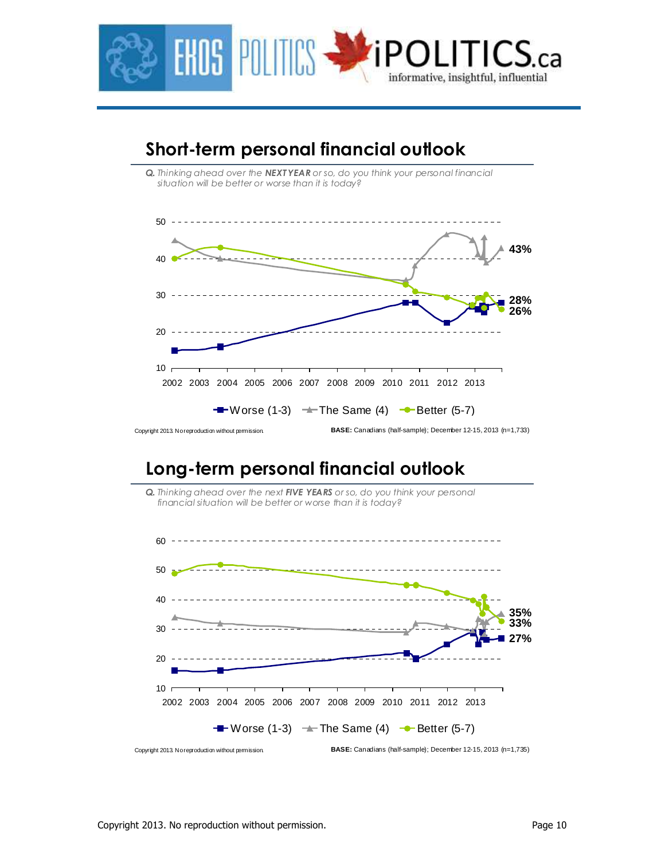



### **Short-term personal financial outlook**

### **Long-term personal financial outlook**

*Q. Thinking ahead over the next FIVE YEARS or so, do you think your personal financial situation will be better or worse than it is today?*

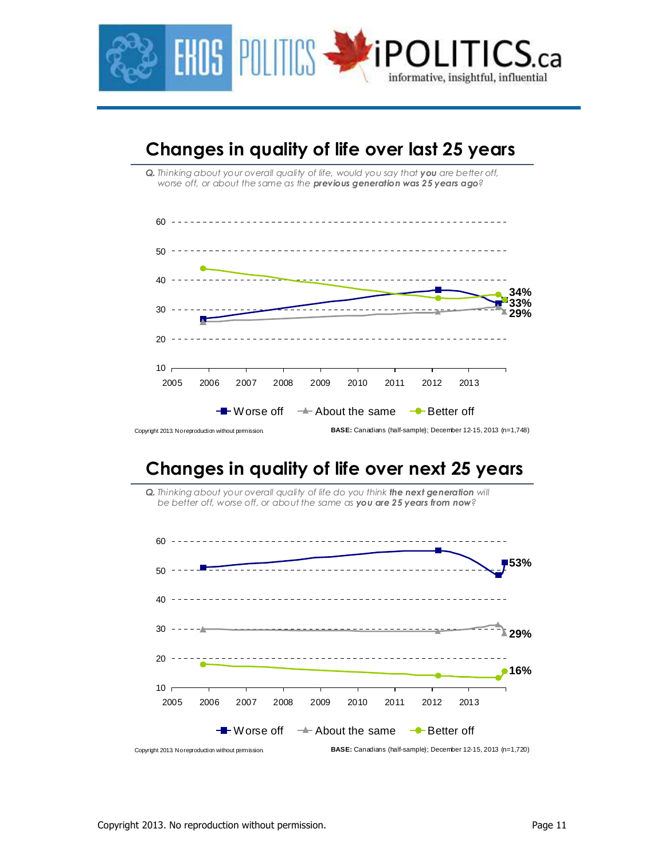

## **Changes in quality of life over last 25 years**

*Q. Thinking about your overall quality of life, would you say that you are better off, worse off, or about the same as the previous generation was 25 years ago?*



## **Changes in quality of life over next 25 years**

**Q.** Thinking about your overall quality of life do you think **the next generation** will *be better off, worse off, or about the same as you are 25 years from now?*

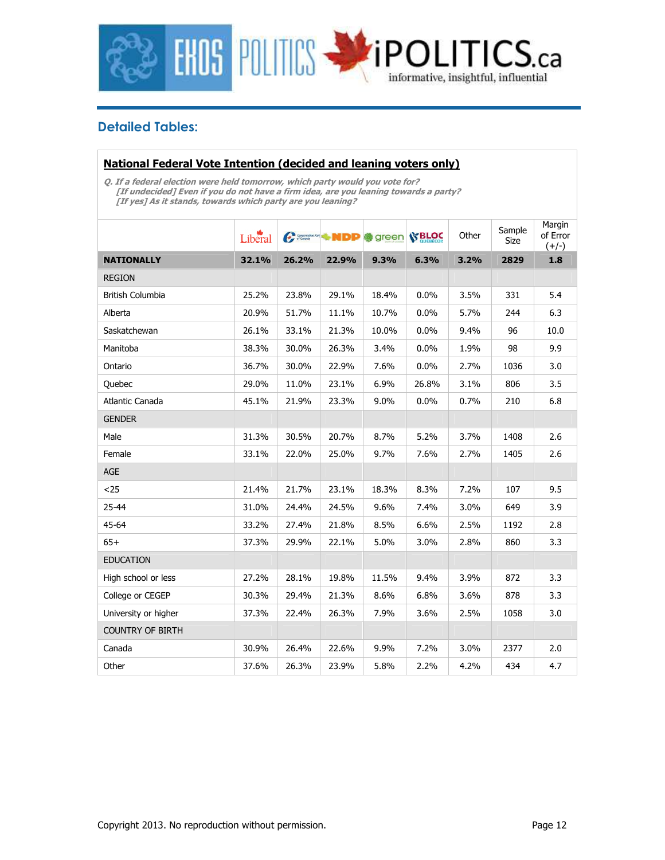

### **Detailed Tables:**

### **National Federal Vote Intention (decided and leaning voters only)**

**Q. If a federal election were held tomorrow, which party would you vote for? [If undecided] Even if you do not have a firm idea, are you leaning towards a party? [If yes] As it stands, towards which party are you leaning?** 

|                         | Liberal | Conservative Part | ∻NDD  | green | <b>S' BLOC</b> | Other | Sample<br>Size | Margin<br>of Error<br>$(+/-)$ |
|-------------------------|---------|-------------------|-------|-------|----------------|-------|----------------|-------------------------------|
| <b>NATIONALLY</b>       | 32.1%   | 26.2%             | 22.9% | 9.3%  | 6.3%           | 3.2%  | 2829           | 1.8                           |
| <b>REGION</b>           |         |                   |       |       |                |       |                |                               |
| <b>British Columbia</b> | 25.2%   | 23.8%             | 29.1% | 18.4% | 0.0%           | 3.5%  | 331            | 5.4                           |
| Alberta                 | 20.9%   | 51.7%             | 11.1% | 10.7% | 0.0%           | 5.7%  | 244            | 6.3                           |
| Saskatchewan            | 26.1%   | 33.1%             | 21.3% | 10.0% | 0.0%           | 9.4%  | 96             | 10.0                          |
| Manitoba                | 38.3%   | 30.0%             | 26.3% | 3.4%  | 0.0%           | 1.9%  | 98             | 9.9                           |
| Ontario                 | 36.7%   | 30.0%             | 22.9% | 7.6%  | 0.0%           | 2.7%  | 1036           | 3.0                           |
| Quebec                  | 29.0%   | 11.0%             | 23.1% | 6.9%  | 26.8%          | 3.1%  | 806            | 3.5                           |
| Atlantic Canada         | 45.1%   | 21.9%             | 23.3% | 9.0%  | 0.0%           | 0.7%  | 210            | 6.8                           |
| <b>GENDER</b>           |         |                   |       |       |                |       |                |                               |
| Male                    | 31.3%   | 30.5%             | 20.7% | 8.7%  | 5.2%           | 3.7%  | 1408           | 2.6                           |
| Female                  | 33.1%   | 22.0%             | 25.0% | 9.7%  | 7.6%           | 2.7%  | 1405           | 2.6                           |
| AGE                     |         |                   |       |       |                |       |                |                               |
| $25$                    | 21.4%   | 21.7%             | 23.1% | 18.3% | 8.3%           | 7.2%  | 107            | 9.5                           |
| 25-44                   | 31.0%   | 24.4%             | 24.5% | 9.6%  | 7.4%           | 3.0%  | 649            | 3.9                           |
| 45-64                   | 33.2%   | 27.4%             | 21.8% | 8.5%  | 6.6%           | 2.5%  | 1192           | 2.8                           |
| $65+$                   | 37.3%   | 29.9%             | 22.1% | 5.0%  | 3.0%           | 2.8%  | 860            | 3.3                           |
| <b>EDUCATION</b>        |         |                   |       |       |                |       |                |                               |
| High school or less     | 27.2%   | 28.1%             | 19.8% | 11.5% | 9.4%           | 3.9%  | 872            | 3.3                           |
| College or CEGEP        | 30.3%   | 29.4%             | 21.3% | 8.6%  | 6.8%           | 3.6%  | 878            | 3.3                           |
| University or higher    | 37.3%   | 22.4%             | 26.3% | 7.9%  | 3.6%           | 2.5%  | 1058           | 3.0                           |
| <b>COUNTRY OF BIRTH</b> |         |                   |       |       |                |       |                |                               |
| Canada                  | 30.9%   | 26.4%             | 22.6% | 9.9%  | 7.2%           | 3.0%  | 2377           | 2.0                           |
| Other                   | 37.6%   | 26.3%             | 23.9% | 5.8%  | 2.2%           | 4.2%  | 434            | 4.7                           |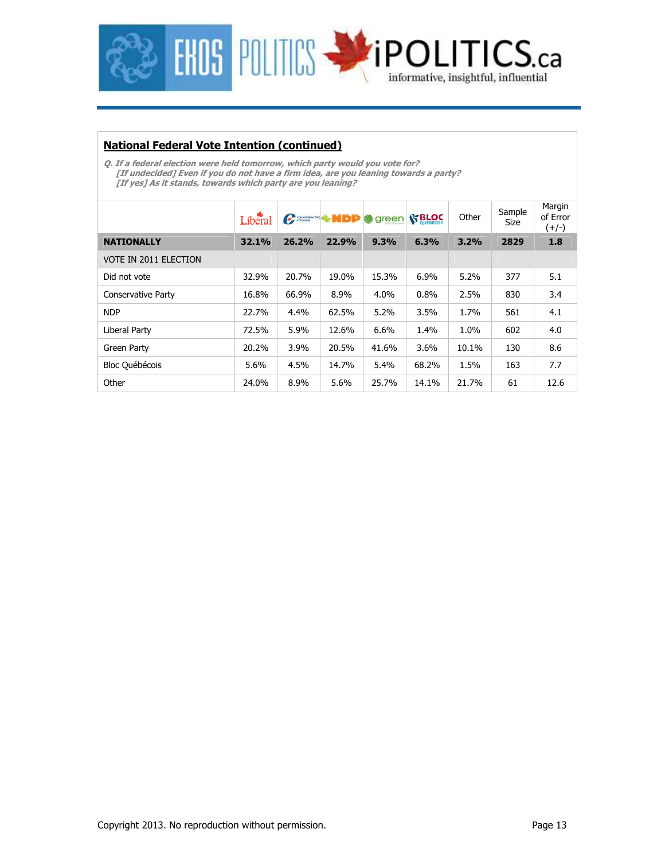

#### **National Federal Vote Intention (continued)**

**Q. If a federal election were held tomorrow, which party would you vote for? [If undecided] Even if you do not have a firm idea, are you leaning towards a party? [If yes] As it stands, towards which party are you leaning?** 

|                       | Liberal |       | Committee Pulp | <b>● green</b> | <b>S' BLOC</b> | Other | Sample<br>Size | Margin<br>of Error<br>(+/-) |
|-----------------------|---------|-------|----------------|----------------|----------------|-------|----------------|-----------------------------|
| <b>NATIONALLY</b>     | 32.1%   | 26.2% | 22.9%          | 9.3%           | 6.3%           | 3.2%  | 2829           | 1.8                         |
| VOTE IN 2011 ELECTION |         |       |                |                |                |       |                |                             |
| Did not vote          | 32.9%   | 20.7% | 19.0%          | 15.3%          | 6.9%           | 5.2%  | 377            | 5.1                         |
| Conservative Party    | 16.8%   | 66.9% | 8.9%           | $4.0\%$        | 0.8%           | 2.5%  | 830            | 3.4                         |
| <b>NDP</b>            | 22.7%   | 4.4%  | 62.5%          | 5.2%           | 3.5%           | 1.7%  | 561            | 4.1                         |
| Liberal Party         | 72.5%   | 5.9%  | 12.6%          | 6.6%           | 1.4%           | 1.0%  | 602            | 4.0                         |
| Green Party           | 20.2%   | 3.9%  | 20.5%          | 41.6%          | 3.6%           | 10.1% | 130            | 8.6                         |
| <b>Bloc Québécois</b> | 5.6%    | 4.5%  | 14.7%          | 5.4%           | 68.2%          | 1.5%  | 163            | 7.7                         |
| Other                 | 24.0%   | 8.9%  | 5.6%           | 25.7%          | 14.1%          | 21.7% | 61             | 12.6                        |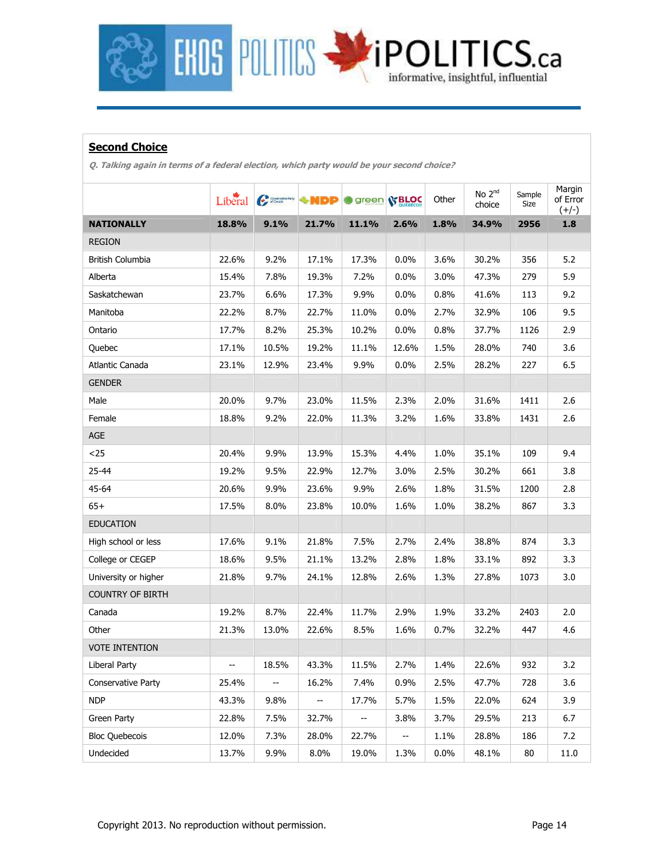

### **Second Choice**

**Q. Talking again in terms of a federal election, which party would be your second choice?** 

|                           | Liberal | Conservative Party       | ∻NDP                     | <b>参 green SBLOC</b> |         | Other | No 2 <sup>nd</sup><br>choice | Sample<br>Size | Margin<br>of Error<br>$(+/-)$ |
|---------------------------|---------|--------------------------|--------------------------|----------------------|---------|-------|------------------------------|----------------|-------------------------------|
| <b>NATIONALLY</b>         | 18.8%   | 9.1%                     | 21.7%                    | 11.1%                | 2.6%    | 1.8%  | 34.9%                        | 2956           | $1.8\,$                       |
| <b>REGION</b>             |         |                          |                          |                      |         |       |                              |                |                               |
| British Columbia          | 22.6%   | 9.2%                     | 17.1%                    | 17.3%                | 0.0%    | 3.6%  | 30.2%                        | 356            | 5.2                           |
| Alberta                   | 15.4%   | 7.8%                     | 19.3%                    | 7.2%                 | 0.0%    | 3.0%  | 47.3%                        | 279            | 5.9                           |
| Saskatchewan              | 23.7%   | 6.6%                     | 17.3%                    | 9.9%                 | 0.0%    | 0.8%  | 41.6%                        | 113            | 9.2                           |
| Manitoba                  | 22.2%   | 8.7%                     | 22.7%                    | 11.0%                | $0.0\%$ | 2.7%  | 32.9%                        | 106            | 9.5                           |
| Ontario                   | 17.7%   | 8.2%                     | 25.3%                    | 10.2%                | 0.0%    | 0.8%  | 37.7%                        | 1126           | 2.9                           |
| Quebec                    | 17.1%   | 10.5%                    | 19.2%                    | 11.1%                | 12.6%   | 1.5%  | 28.0%                        | 740            | 3.6                           |
| Atlantic Canada           | 23.1%   | 12.9%                    | 23.4%                    | 9.9%                 | 0.0%    | 2.5%  | 28.2%                        | 227            | 6.5                           |
| <b>GENDER</b>             |         |                          |                          |                      |         |       |                              |                |                               |
| Male                      | 20.0%   | 9.7%                     | 23.0%                    | 11.5%                | 2.3%    | 2.0%  | 31.6%                        | 1411           | 2.6                           |
| Female                    | 18.8%   | 9.2%                     | 22.0%                    | 11.3%                | 3.2%    | 1.6%  | 33.8%                        | 1431           | 2.6                           |
| AGE                       |         |                          |                          |                      |         |       |                              |                |                               |
| $25$                      | 20.4%   | 9.9%                     | 13.9%                    | 15.3%                | 4.4%    | 1.0%  | 35.1%                        | 109            | 9.4                           |
| 25-44                     | 19.2%   | 9.5%                     | 22.9%                    | 12.7%                | 3.0%    | 2.5%  | 30.2%                        | 661            | 3.8                           |
| 45-64                     | 20.6%   | 9.9%                     | 23.6%                    | 9.9%                 | 2.6%    | 1.8%  | 31.5%                        | 1200           | 2.8                           |
| $65+$                     | 17.5%   | 8.0%                     | 23.8%                    | 10.0%                | 1.6%    | 1.0%  | 38.2%                        | 867            | 3.3                           |
| <b>EDUCATION</b>          |         |                          |                          |                      |         |       |                              |                |                               |
| High school or less       | 17.6%   | 9.1%                     | 21.8%                    | 7.5%                 | 2.7%    | 2.4%  | 38.8%                        | 874            | 3.3                           |
| College or CEGEP          | 18.6%   | 9.5%                     | 21.1%                    | 13.2%                | 2.8%    | 1.8%  | 33.1%                        | 892            | 3.3                           |
| University or higher      | 21.8%   | 9.7%                     | 24.1%                    | 12.8%                | 2.6%    | 1.3%  | 27.8%                        | 1073           | 3.0                           |
| <b>COUNTRY OF BIRTH</b>   |         |                          |                          |                      |         |       |                              |                |                               |
| Canada                    | 19.2%   | 8.7%                     | 22.4%                    | 11.7%                | 2.9%    | 1.9%  | 33.2%                        | 2403           | 2.0                           |
| Other                     | 21.3%   | 13.0%                    | 22.6%                    | 8.5%                 | 1.6%    | 0.7%  | 32.2%                        | 447            | 4.6                           |
| <b>VOTE INTENTION</b>     |         |                          |                          |                      |         |       |                              |                |                               |
| Liberal Party             |         | 18.5%                    | 43.3%                    | 11.5%                | 2.7%    | 1.4%  | 22.6%                        | 932            | 3.2                           |
| <b>Conservative Party</b> | 25.4%   | $\overline{\phantom{a}}$ | 16.2%                    | 7.4%                 | 0.9%    | 2.5%  | 47.7%                        | 728            | 3.6                           |
| <b>NDP</b>                | 43.3%   | 9.8%                     | $\overline{\phantom{a}}$ | 17.7%                | 5.7%    | 1.5%  | 22.0%                        | 624            | 3.9                           |
| Green Party               | 22.8%   | 7.5%                     | 32.7%                    | н.                   | 3.8%    | 3.7%  | 29.5%                        | 213            | 6.7                           |
| <b>Bloc Quebecois</b>     | 12.0%   | 7.3%                     | 28.0%                    | 22.7%                | $\sim$  | 1.1%  | 28.8%                        | 186            | 7.2                           |
| Undecided                 | 13.7%   | 9.9%                     | 8.0%                     | 19.0%                | 1.3%    | 0.0%  | 48.1%                        | 80             | 11.0                          |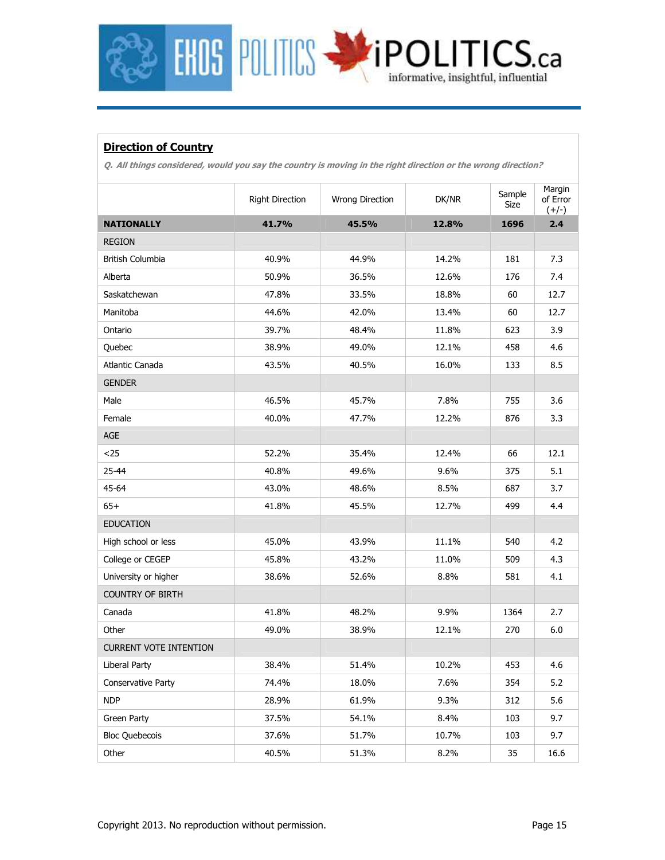

### **Direction of Country**

**Q. All things considered, would you say the country is moving in the right direction or the wrong direction?** 

|                               | <b>Right Direction</b> | DK/NR<br>Wrong Direction |       | Sample<br>Size | Margin<br>of Error<br>$(+/-)$ |
|-------------------------------|------------------------|--------------------------|-------|----------------|-------------------------------|
| <b>NATIONALLY</b>             | 41.7%                  | 45.5%                    | 12.8% | 1696           | 2.4                           |
| <b>REGION</b>                 |                        |                          |       |                |                               |
| <b>British Columbia</b>       | 40.9%                  | 44.9%                    | 14.2% | 181            | 7.3                           |
| Alberta                       | 50.9%                  | 36.5%                    | 12.6% | 176            | 7.4                           |
| Saskatchewan                  | 47.8%                  | 33.5%                    | 18.8% | 60             | 12.7                          |
| Manitoba                      | 44.6%                  | 42.0%                    | 13.4% | 60             | 12.7                          |
| Ontario                       | 39.7%                  | 48.4%                    | 11.8% | 623            | 3.9                           |
| Quebec                        | 38.9%                  | 49.0%                    | 12.1% | 458            | 4.6                           |
| Atlantic Canada               | 43.5%                  | 40.5%                    | 16.0% | 133            | 8.5                           |
| <b>GENDER</b>                 |                        |                          |       |                |                               |
| Male                          | 46.5%                  | 45.7%                    | 7.8%  | 755            | 3.6                           |
| Female                        | 40.0%                  | 47.7%                    | 12.2% | 876            | 3.3                           |
| $\mathsf{AGE}$                |                        |                          |       |                |                               |
| $25$                          | 52.2%                  | 35.4%                    | 12.4% | 66             | 12.1                          |
| 25-44                         | 40.8%                  | 49.6%                    | 9.6%  | 375            | 5.1                           |
| 45-64                         | 43.0%                  | 48.6%                    | 8.5%  | 687            | 3.7                           |
| $65+$                         | 41.8%                  | 45.5%                    | 12.7% | 499            | 4.4                           |
| <b>EDUCATION</b>              |                        |                          |       |                |                               |
| High school or less           | 45.0%                  | 43.9%                    | 11.1% | 540            | 4.2                           |
| College or CEGEP              | 45.8%                  | 43.2%                    | 11.0% | 509            | 4.3                           |
| University or higher          | 38.6%                  | 52.6%                    | 8.8%  | 581            | 4.1                           |
| <b>COUNTRY OF BIRTH</b>       |                        |                          |       |                |                               |
| Canada                        | 41.8%                  | 48.2%                    | 9.9%  | 1364           | 2.7                           |
| Other                         | 49.0%                  | 38.9%                    | 12.1% | 270            | 6.0                           |
| <b>CURRENT VOTE INTENTION</b> |                        |                          |       |                |                               |
| Liberal Party                 | 38.4%                  | 51.4%                    | 10.2% | 453            | 4.6                           |
| Conservative Party            | 74.4%                  | 18.0%                    | 7.6%  | 354            | 5.2                           |
| <b>NDP</b>                    | 28.9%                  | 61.9%                    | 9.3%  | 312            | 5.6                           |
| Green Party                   | 37.5%                  | 54.1%                    | 8.4%  | 103            | 9.7                           |
| <b>Bloc Quebecois</b>         | 37.6%                  | 51.7%                    | 10.7% | 103            | 9.7                           |
| Other                         | 40.5%                  | 51.3%                    | 8.2%  | 35             | 16.6                          |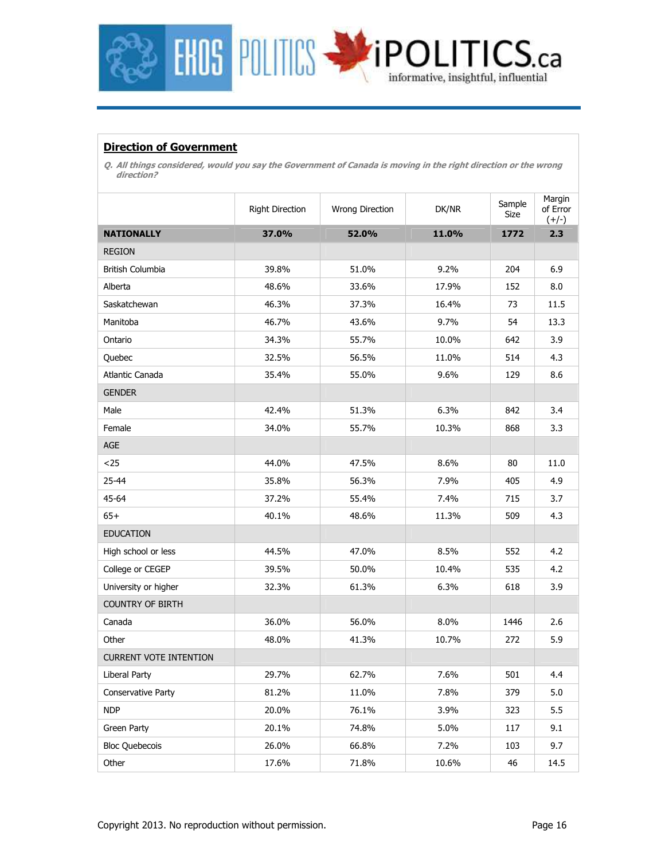

### **Direction of Government**

**Q. All things considered, would you say the Government of Canada is moving in the right direction or the wrong direction?** 

|                               | <b>Right Direction</b> | Wrong Direction | DK/NR | Sample<br>Size | Margin<br>of Error<br>$(+/-)$ |
|-------------------------------|------------------------|-----------------|-------|----------------|-------------------------------|
| <b>NATIONALLY</b>             | 37.0%                  | 52.0%           | 11.0% | 1772           | 2.3                           |
| <b>REGION</b>                 |                        |                 |       |                |                               |
| British Columbia              | 39.8%                  | 51.0%           | 9.2%  | 204            | 6.9                           |
| Alberta                       | 48.6%                  | 33.6%           | 17.9% | 152            | 8.0                           |
| Saskatchewan                  | 46.3%                  | 37.3%           | 16.4% | 73             | 11.5                          |
| Manitoba                      | 46.7%                  | 43.6%           | 9.7%  | 54             | 13.3                          |
| Ontario                       | 34.3%                  | 55.7%           | 10.0% | 642            | 3.9                           |
| Quebec                        | 32.5%                  | 56.5%           | 11.0% | 514            | 4.3                           |
| Atlantic Canada               | 35.4%                  | 55.0%           | 9.6%  | 129            | 8.6                           |
| <b>GENDER</b>                 |                        |                 |       |                |                               |
| Male                          | 42.4%                  | 51.3%           | 6.3%  | 842            | 3.4                           |
| Female                        | 34.0%                  | 55.7%           | 10.3% | 868            | 3.3                           |
| <b>AGE</b>                    |                        |                 |       |                |                               |
| $25$                          | 44.0%                  | 47.5%           | 8.6%  | 80             | 11.0                          |
| 25-44                         | 35.8%                  | 56.3%           | 7.9%  | 405            | 4.9                           |
| 45-64                         | 37.2%                  | 55.4%           | 7.4%  | 715            | 3.7                           |
| $65+$                         | 40.1%                  | 48.6%           | 11.3% | 509            | 4.3                           |
| <b>EDUCATION</b>              |                        |                 |       |                |                               |
| High school or less           | 44.5%                  | 47.0%           | 8.5%  | 552            | 4.2                           |
| College or CEGEP              | 39.5%                  | 50.0%           | 10.4% | 535            | 4.2                           |
| University or higher          | 32.3%                  | 61.3%           | 6.3%  | 618            | 3.9                           |
| <b>COUNTRY OF BIRTH</b>       |                        |                 |       |                |                               |
| Canada                        | 36.0%                  | 56.0%           | 8.0%  | 1446           | 2.6                           |
| Other                         | 48.0%                  | 41.3%           | 10.7% | 272            | 5.9                           |
| <b>CURRENT VOTE INTENTION</b> |                        |                 |       |                |                               |
| Liberal Party                 | 29.7%                  | 62.7%           | 7.6%  | 501            | 4.4                           |
| Conservative Party            | 81.2%                  | 11.0%           | 7.8%  | 379            | 5.0                           |
| <b>NDP</b>                    | 20.0%                  | 76.1%           | 3.9%  | 323            | 5.5                           |
| Green Party                   | 20.1%                  | 74.8%           | 5.0%  | 117            | 9.1                           |
| <b>Bloc Quebecois</b>         | 26.0%                  | 66.8%           | 7.2%  | 103            | 9.7                           |
| Other                         | 17.6%                  | 71.8%           | 10.6% | 46             | 14.5                          |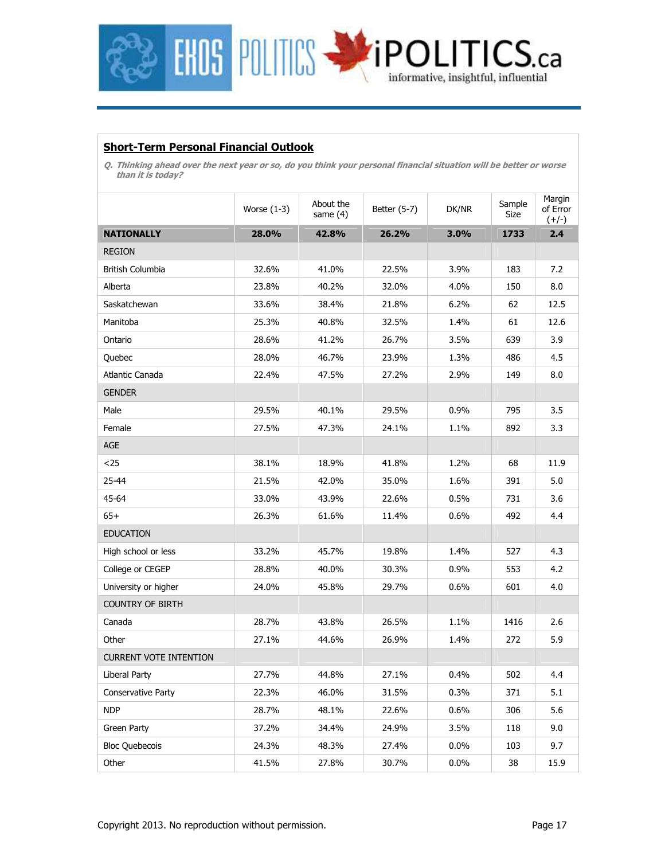

### **Short-Term Personal Financial Outlook**

**Q. Thinking ahead over the next year or so, do you think your personal financial situation will be better or worse than it is today?** 

|                               | Worse $(1-3)$ | About the<br>Better (5-7)<br>same $(4)$ |       | DK/NR   | Sample<br>Size | Margin<br>of Error<br>$(+/-)$ |
|-------------------------------|---------------|-----------------------------------------|-------|---------|----------------|-------------------------------|
| <b>NATIONALLY</b>             | 28.0%         | 42.8%                                   | 26.2% | 3.0%    | 1733           | 2.4                           |
| <b>REGION</b>                 |               |                                         |       |         |                |                               |
| British Columbia              | 32.6%         | 41.0%                                   | 22.5% | 3.9%    | 183            | 7.2                           |
| Alberta                       | 23.8%         | 40.2%                                   | 32.0% | 4.0%    | 150            | 8.0                           |
| Saskatchewan                  | 33.6%         | 38.4%                                   | 21.8% | 6.2%    | 62             | 12.5                          |
| Manitoba                      | 25.3%         | 40.8%                                   | 32.5% | 1.4%    | 61             | 12.6                          |
| Ontario                       | 28.6%         | 41.2%                                   | 26.7% | 3.5%    | 639            | 3.9                           |
| Quebec                        | 28.0%         | 46.7%                                   | 23.9% | 1.3%    | 486            | 4.5                           |
| Atlantic Canada               | 22.4%         | 47.5%                                   | 27.2% | 2.9%    | 149            | 8.0                           |
| <b>GENDER</b>                 |               |                                         |       |         |                |                               |
| Male                          | 29.5%         | 40.1%                                   | 29.5% | 0.9%    | 795            | 3.5                           |
| Female                        | 27.5%         | 47.3%                                   | 24.1% | 1.1%    | 892            | 3.3                           |
| AGE                           |               |                                         |       |         |                |                               |
| $25$                          | 38.1%         | 18.9%                                   | 41.8% | 1.2%    | 68             | 11.9                          |
| 25-44                         | 21.5%         | 42.0%                                   | 35.0% | 1.6%    | 391            | 5.0                           |
| 45-64                         | 33.0%         | 43.9%                                   | 22.6% | 0.5%    | 731            | 3.6                           |
| $65+$                         | 26.3%         | 61.6%                                   | 11.4% | 0.6%    | 492            | 4.4                           |
| <b>EDUCATION</b>              |               |                                         |       |         |                |                               |
| High school or less           | 33.2%         | 45.7%                                   | 19.8% | 1.4%    | 527            | 4.3                           |
| College or CEGEP              | 28.8%         | 40.0%                                   | 30.3% | $0.9\%$ | 553            | 4.2                           |
| University or higher          | 24.0%         | 45.8%                                   | 29.7% | 0.6%    | 601            | 4.0                           |
| <b>COUNTRY OF BIRTH</b>       |               |                                         |       |         |                |                               |
| Canada                        | 28.7%         | 43.8%                                   | 26.5% | 1.1%    | 1416           | 2.6                           |
| Other                         | 27.1%         | 44.6%                                   | 26.9% | 1.4%    | 272            | 5.9                           |
| <b>CURRENT VOTE INTENTION</b> |               |                                         |       |         |                |                               |
| Liberal Party                 | 27.7%         | 44.8%                                   | 27.1% | 0.4%    | 502            | 4.4                           |
| Conservative Party            | 22.3%         | 46.0%                                   | 31.5% | 0.3%    | 371            | 5.1                           |
| <b>NDP</b>                    | 28.7%         | 48.1%                                   | 22.6% | 0.6%    | 306            | 5.6                           |
| Green Party                   | 37.2%         | 34.4%                                   | 24.9% | 3.5%    | 118            | 9.0                           |
| <b>Bloc Quebecois</b>         | 24.3%         | 48.3%                                   | 27.4% | 0.0%    | 103            | 9.7                           |
| Other                         | 41.5%         | 27.8%                                   | 30.7% | 0.0%    | 38             | 15.9                          |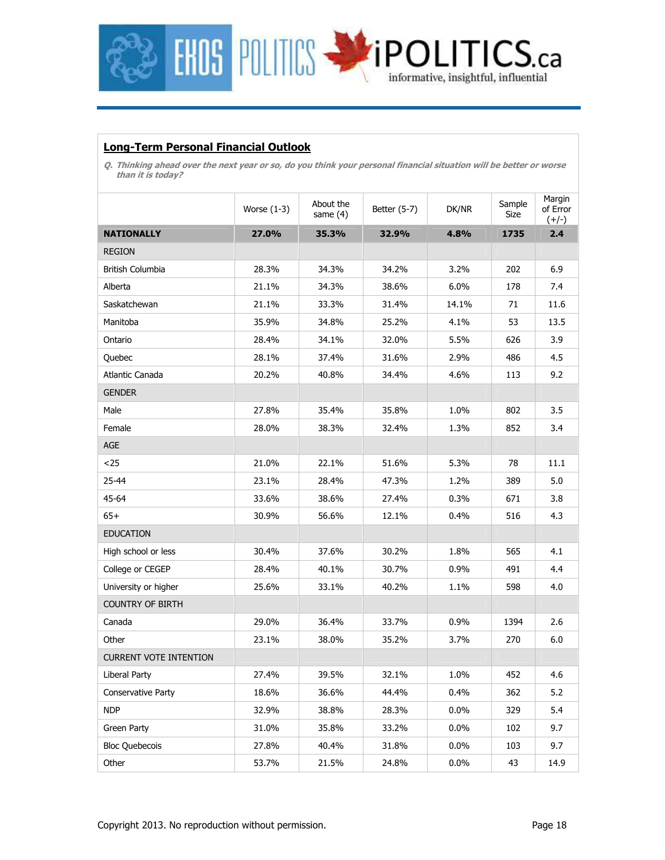

### **Long-Term Personal Financial Outlook**

**Q. Thinking ahead over the next year or so, do you think your personal financial situation will be better or worse than it is today?** 

|                               | Worse $(1-3)$ | About the<br>Better (5-7)<br>same $(4)$ |       | DK/NR   | Sample<br>Size | Margin<br>of Error<br>$(+/-)$ |
|-------------------------------|---------------|-----------------------------------------|-------|---------|----------------|-------------------------------|
| <b>NATIONALLY</b>             | 27.0%         | 35.3%                                   | 32.9% | 4.8%    | 1735           | 2.4                           |
| <b>REGION</b>                 |               |                                         |       |         |                |                               |
| British Columbia              | 28.3%         | 34.3%                                   | 34.2% | 3.2%    | 202            | 6.9                           |
| Alberta                       | 21.1%         | 34.3%                                   | 38.6% | 6.0%    | 178            | 7.4                           |
| Saskatchewan                  | 21.1%         | 33.3%                                   | 31.4% | 14.1%   | 71             | 11.6                          |
| Manitoba                      | 35.9%         | 34.8%                                   | 25.2% | 4.1%    | 53             | 13.5                          |
| Ontario                       | 28.4%         | 34.1%                                   | 32.0% | 5.5%    | 626            | 3.9                           |
| Quebec                        | 28.1%         | 37.4%                                   | 31.6% | 2.9%    | 486            | 4.5                           |
| Atlantic Canada               | 20.2%         | 40.8%                                   | 34.4% | 4.6%    | 113            | 9.2                           |
| <b>GENDER</b>                 |               |                                         |       |         |                |                               |
| Male                          | 27.8%         | 35.4%                                   | 35.8% | 1.0%    | 802            | 3.5                           |
| Female                        | 28.0%         | 38.3%                                   | 32.4% | 1.3%    | 852            | 3.4                           |
| AGE                           |               |                                         |       |         |                |                               |
| $25$                          | 21.0%         | 22.1%                                   | 51.6% | 5.3%    | 78             | 11.1                          |
| 25-44                         | 23.1%         | 28.4%                                   | 47.3% | 1.2%    | 389            | 5.0                           |
| 45-64                         | 33.6%         | 38.6%                                   | 27.4% | 0.3%    | 671            | 3.8                           |
| $65+$                         | 30.9%         | 56.6%                                   | 12.1% | 0.4%    | 516            | 4.3                           |
| <b>EDUCATION</b>              |               |                                         |       |         |                |                               |
| High school or less           | 30.4%         | 37.6%                                   | 30.2% | 1.8%    | 565            | 4.1                           |
| College or CEGEP              | 28.4%         | 40.1%                                   | 30.7% | $0.9\%$ | 491            | 4.4                           |
| University or higher          | 25.6%         | 33.1%                                   | 40.2% | 1.1%    | 598            | 4.0                           |
| <b>COUNTRY OF BIRTH</b>       |               |                                         |       |         |                |                               |
| Canada                        | 29.0%         | 36.4%                                   | 33.7% | 0.9%    | 1394           | 2.6                           |
| Other                         | 23.1%         | 38.0%                                   | 35.2% | 3.7%    | 270            | 6.0                           |
| <b>CURRENT VOTE INTENTION</b> |               |                                         |       |         |                |                               |
| Liberal Party                 | 27.4%         | 39.5%                                   | 32.1% | 1.0%    | 452            | 4.6                           |
| Conservative Party            | 18.6%         | 36.6%                                   | 44.4% | 0.4%    | 362            | 5.2                           |
| <b>NDP</b>                    | 32.9%         | 38.8%                                   | 28.3% | $0.0\%$ | 329            | 5.4                           |
| Green Party                   | 31.0%         | 35.8%                                   | 33.2% | 0.0%    | 102            | 9.7                           |
| <b>Bloc Quebecois</b>         | 27.8%         | 40.4%                                   | 31.8% | 0.0%    | 103            | 9.7                           |
| Other                         | 53.7%         | 21.5%                                   | 24.8% | $0.0\%$ | 43             | 14.9                          |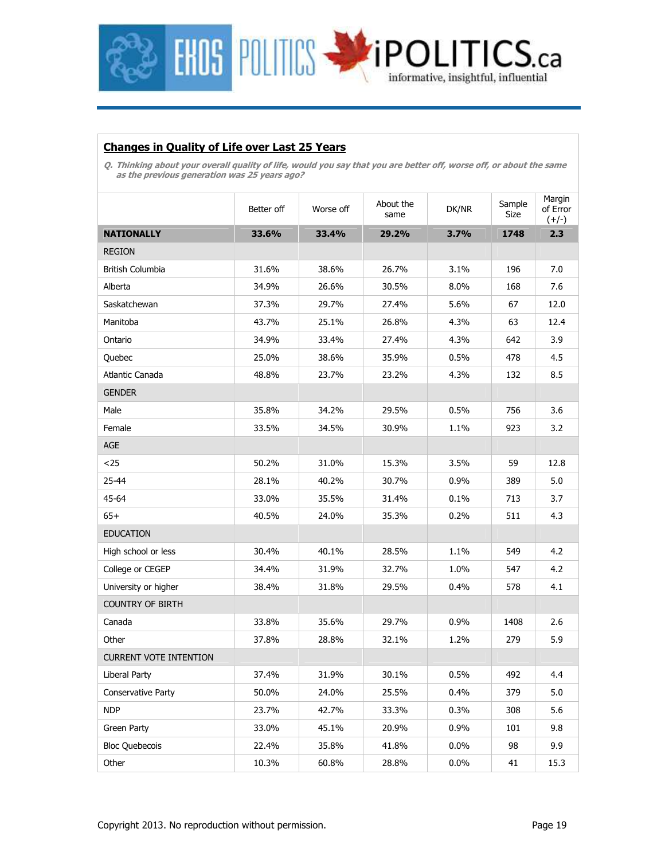

### **Changes in Quality of Life over Last 25 Years**

**Q. Thinking about your overall quality of life, would you say that you are better off, worse off, or about the same as the previous generation was 25 years ago?** 

|                               | Better off | Worse off | About the<br>same | DK/NR   | Sample<br>Size | Margin<br>of Error<br>$(+/-)$ |
|-------------------------------|------------|-----------|-------------------|---------|----------------|-------------------------------|
| <b>NATIONALLY</b>             | 33.6%      | 33.4%     | 29.2%             | 3.7%    | 1748           | 2.3                           |
| <b>REGION</b>                 |            |           |                   |         |                |                               |
| British Columbia              | 31.6%      | 38.6%     | 26.7%             | 3.1%    | 196            | 7.0                           |
| Alberta                       | 34.9%      | 26.6%     | 30.5%             | 8.0%    | 168            | 7.6                           |
| Saskatchewan                  | 37.3%      | 29.7%     | 27.4%             | 5.6%    | 67             | 12.0                          |
| Manitoba                      | 43.7%      | 25.1%     | 26.8%             | 4.3%    | 63             | 12.4                          |
| Ontario                       | 34.9%      | 33.4%     | 27.4%             | 4.3%    | 642            | 3.9                           |
| Quebec                        | 25.0%      | 38.6%     | 35.9%             | 0.5%    | 478            | 4.5                           |
| Atlantic Canada               | 48.8%      | 23.7%     | 23.2%             | 4.3%    | 132            | 8.5                           |
| <b>GENDER</b>                 |            |           |                   |         |                |                               |
| Male                          | 35.8%      | 34.2%     | 29.5%             | 0.5%    | 756            | 3.6                           |
| Female                        | 33.5%      | 34.5%     | 30.9%             | 1.1%    | 923            | 3.2                           |
| <b>AGE</b>                    |            |           |                   |         |                |                               |
| $25$                          | 50.2%      | 31.0%     | 15.3%             | 3.5%    | 59             | 12.8                          |
| 25-44                         | 28.1%      | 40.2%     | 30.7%             | 0.9%    | 389            | 5.0                           |
| 45-64                         | 33.0%      | 35.5%     | 31.4%             | 0.1%    | 713            | 3.7                           |
| $65+$                         | 40.5%      | 24.0%     | 35.3%             | 0.2%    | 511            | 4.3                           |
| <b>EDUCATION</b>              |            |           |                   |         |                |                               |
| High school or less           | 30.4%      | 40.1%     | 28.5%             | 1.1%    | 549            | 4.2                           |
| College or CEGEP              | 34.4%      | 31.9%     | 32.7%             | 1.0%    | 547            | 4.2                           |
| University or higher          | 38.4%      | 31.8%     | 29.5%             | 0.4%    | 578            | 4.1                           |
| <b>COUNTRY OF BIRTH</b>       |            |           |                   |         |                |                               |
| Canada                        | 33.8%      | 35.6%     | 29.7%             | 0.9%    | 1408           | 2.6                           |
| Other                         | 37.8%      | 28.8%     | 32.1%             | 1.2%    | 279            | 5.9                           |
| <b>CURRENT VOTE INTENTION</b> |            |           |                   |         |                |                               |
| Liberal Party                 | 37.4%      | 31.9%     | 30.1%             | 0.5%    | 492            | 4.4                           |
| Conservative Party            | 50.0%      | 24.0%     | 25.5%             | 0.4%    | 379            | 5.0                           |
| <b>NDP</b>                    | 23.7%      | 42.7%     | 33.3%             | 0.3%    | 308            | 5.6                           |
| Green Party                   | 33.0%      | 45.1%     | 20.9%             | 0.9%    | 101            | 9.8                           |
| <b>Bloc Quebecois</b>         | 22.4%      | 35.8%     | 41.8%             | $0.0\%$ | 98             | 9.9                           |
| Other                         | 10.3%      | 60.8%     | 28.8%             | $0.0\%$ | 41             | 15.3                          |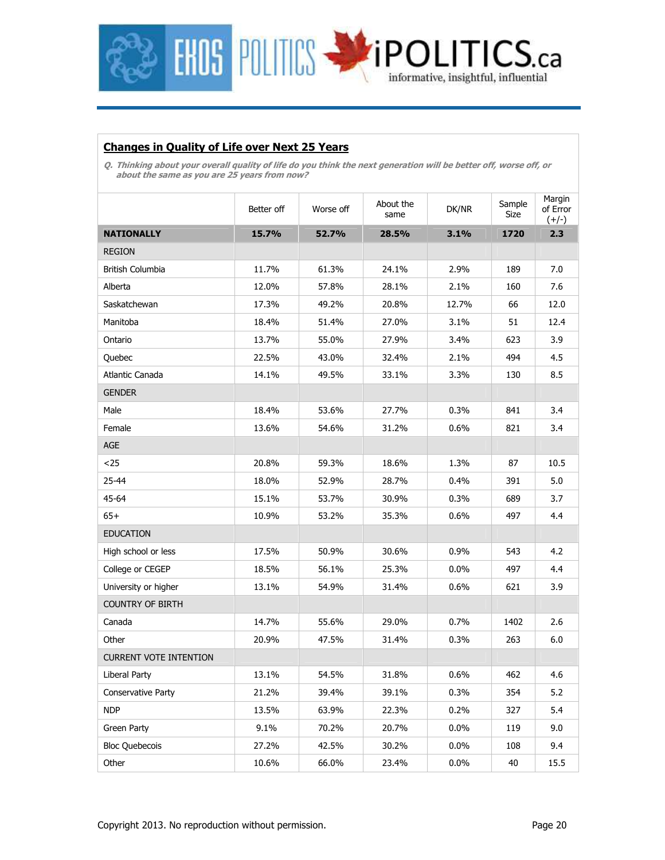

### **Changes in Quality of Life over Next 25 Years**

**Q. Thinking about your overall quality of life do you think the next generation will be better off, worse off, or about the same as you are 25 years from now?** 

|                               | About the<br>Better off<br>Worse off<br>same |       | DK/NR | Sample<br>Size | Margin<br>of Error<br>$(+/-)$ |      |
|-------------------------------|----------------------------------------------|-------|-------|----------------|-------------------------------|------|
| <b>NATIONALLY</b>             | 15.7%                                        | 52.7% | 28.5% | 3.1%           | 1720                          | 2.3  |
| <b>REGION</b>                 |                                              |       |       |                |                               |      |
| British Columbia              | 11.7%                                        | 61.3% | 24.1% | 2.9%           | 189                           | 7.0  |
| Alberta                       | 12.0%                                        | 57.8% | 28.1% | 2.1%           | 160                           | 7.6  |
| Saskatchewan                  | 17.3%                                        | 49.2% | 20.8% | 12.7%          | 66                            | 12.0 |
| Manitoba                      | 18.4%                                        | 51.4% | 27.0% | 3.1%           | 51                            | 12.4 |
| Ontario                       | 13.7%                                        | 55.0% | 27.9% | 3.4%           | 623                           | 3.9  |
| Quebec                        | 22.5%                                        | 43.0% | 32.4% | 2.1%           | 494                           | 4.5  |
| Atlantic Canada               | 14.1%                                        | 49.5% | 33.1% | 3.3%           | 130                           | 8.5  |
| <b>GENDER</b>                 |                                              |       |       |                |                               |      |
| Male                          | 18.4%                                        | 53.6% | 27.7% | 0.3%           | 841                           | 3.4  |
| Female                        | 13.6%                                        | 54.6% | 31.2% | 0.6%           | 821                           | 3.4  |
| AGE                           |                                              |       |       |                |                               |      |
| $25$                          | 20.8%                                        | 59.3% | 18.6% | 1.3%           | 87                            | 10.5 |
| 25-44                         | 18.0%                                        | 52.9% | 28.7% | 0.4%           | 391                           | 5.0  |
| 45-64                         | 15.1%                                        | 53.7% | 30.9% | 0.3%           | 689                           | 3.7  |
| $65+$                         | 10.9%                                        | 53.2% | 35.3% | 0.6%           | 497                           | 4.4  |
| <b>EDUCATION</b>              |                                              |       |       |                |                               |      |
| High school or less           | 17.5%                                        | 50.9% | 30.6% | 0.9%           | 543                           | 4.2  |
| College or CEGEP              | 18.5%                                        | 56.1% | 25.3% | 0.0%           | 497                           | 4.4  |
| University or higher          | 13.1%                                        | 54.9% | 31.4% | 0.6%           | 621                           | 3.9  |
| <b>COUNTRY OF BIRTH</b>       |                                              |       |       |                |                               |      |
| Canada                        | 14.7%                                        | 55.6% | 29.0% | 0.7%           | 1402                          | 2.6  |
| Other                         | 20.9%                                        | 47.5% | 31.4% | 0.3%           | 263                           | 6.0  |
| <b>CURRENT VOTE INTENTION</b> |                                              |       |       |                |                               |      |
| Liberal Party                 | 13.1%                                        | 54.5% | 31.8% | 0.6%           | 462                           | 4.6  |
| Conservative Party            | 21.2%                                        | 39.4% | 39.1% | 0.3%           | 354                           | 5.2  |
| <b>NDP</b>                    | 13.5%                                        | 63.9% | 22.3% | 0.2%           | 327                           | 5.4  |
| Green Party                   | 9.1%                                         | 70.2% | 20.7% | $0.0\%$        | 119                           | 9.0  |
| <b>Bloc Quebecois</b>         | 27.2%                                        | 42.5% | 30.2% | 0.0%           | 108                           | 9.4  |
| Other                         | 10.6%                                        | 66.0% | 23.4% | $0.0\%$        | 40                            | 15.5 |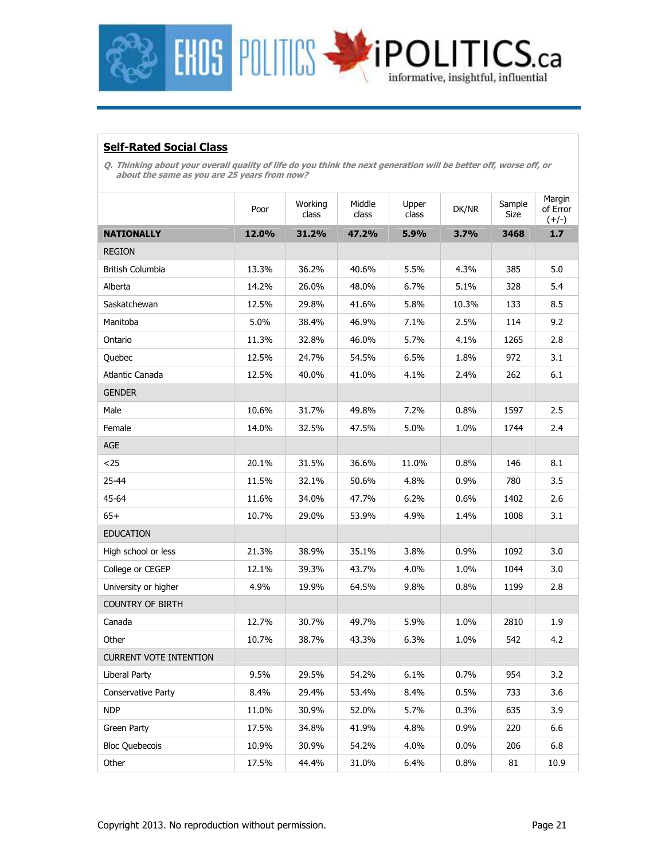

### **Self-Rated Social Class**

**Q. Thinking about your overall quality of life do you think the next generation will be better off, worse off, or about the same as you are 25 years from now?** 

|                               | Poor  | Working<br>class | Middle<br>class | Upper<br>class | DK/NR   | Sample<br>Size | Margin<br>of Error<br>$(+/-)$ |
|-------------------------------|-------|------------------|-----------------|----------------|---------|----------------|-------------------------------|
| <b>NATIONALLY</b>             | 12.0% | 31.2%            | 47.2%           | 5.9%           | 3.7%    | 3468           | 1.7                           |
| <b>REGION</b>                 |       |                  |                 |                |         |                |                               |
| British Columbia              | 13.3% | 36.2%            | 40.6%           | 5.5%           | 4.3%    | 385            | 5.0                           |
| Alberta                       | 14.2% | 26.0%            | 48.0%           | 6.7%           | 5.1%    | 328            | 5.4                           |
| Saskatchewan                  | 12.5% | 29.8%            | 41.6%           | 5.8%           | 10.3%   | 133            | 8.5                           |
| Manitoba                      | 5.0%  | 38.4%            | 46.9%           | 7.1%           | 2.5%    | 114            | 9.2                           |
| Ontario                       | 11.3% | 32.8%            | 46.0%           | 5.7%           | 4.1%    | 1265           | 2.8                           |
| Quebec                        | 12.5% | 24.7%            | 54.5%           | 6.5%           | 1.8%    | 972            | 3.1                           |
| Atlantic Canada               | 12.5% | 40.0%            | 41.0%           | 4.1%           | 2.4%    | 262            | 6.1                           |
| <b>GENDER</b>                 |       |                  |                 |                |         |                |                               |
| Male                          | 10.6% | 31.7%            | 49.8%           | 7.2%           | 0.8%    | 1597           | 2.5                           |
| Female                        | 14.0% | 32.5%            | 47.5%           | 5.0%           | 1.0%    | 1744           | 2.4                           |
| AGE                           |       |                  |                 |                |         |                |                               |
| $25$                          | 20.1% | 31.5%            | 36.6%           | 11.0%          | 0.8%    | 146            | 8.1                           |
| 25-44                         | 11.5% | 32.1%            | 50.6%           | 4.8%           | 0.9%    | 780            | 3.5                           |
| 45-64                         | 11.6% | 34.0%            | 47.7%           | 6.2%           | $0.6\%$ | 1402           | 2.6                           |
| $65+$                         | 10.7% | 29.0%            | 53.9%           | 4.9%           | 1.4%    | 1008           | 3.1                           |
| <b>EDUCATION</b>              |       |                  |                 |                |         |                |                               |
| High school or less           | 21.3% | 38.9%            | 35.1%           | 3.8%           | 0.9%    | 1092           | 3.0                           |
| College or CEGEP              | 12.1% | 39.3%            | 43.7%           | 4.0%           | 1.0%    | 1044           | 3.0                           |
| University or higher          | 4.9%  | 19.9%            | 64.5%           | 9.8%           | 0.8%    | 1199           | 2.8                           |
| <b>COUNTRY OF BIRTH</b>       |       |                  |                 |                |         |                |                               |
| Canada                        | 12.7% | 30.7%            | 49.7%           | 5.9%           | 1.0%    | 2810           | 1.9                           |
| Other                         | 10.7% | 38.7%            | 43.3%           | 6.3%           | 1.0%    | 542            | 4.2                           |
| <b>CURRENT VOTE INTENTION</b> |       |                  |                 |                |         |                |                               |
| Liberal Party                 | 9.5%  | 29.5%            | 54.2%           | 6.1%           | 0.7%    | 954            | 3.2                           |
| <b>Conservative Party</b>     | 8.4%  | 29.4%            | 53.4%           | 8.4%           | 0.5%    | 733            | 3.6                           |
| <b>NDP</b>                    | 11.0% | 30.9%            | 52.0%           | 5.7%           | 0.3%    | 635            | 3.9                           |
| Green Party                   | 17.5% | 34.8%            | 41.9%           | 4.8%           | 0.9%    | 220            | 6.6                           |
| <b>Bloc Quebecois</b>         | 10.9% | 30.9%            | 54.2%           | 4.0%           | $0.0\%$ | 206            | 6.8                           |
| Other                         | 17.5% | 44.4%            | 31.0%           | 6.4%           | 0.8%    | 81             | 10.9                          |